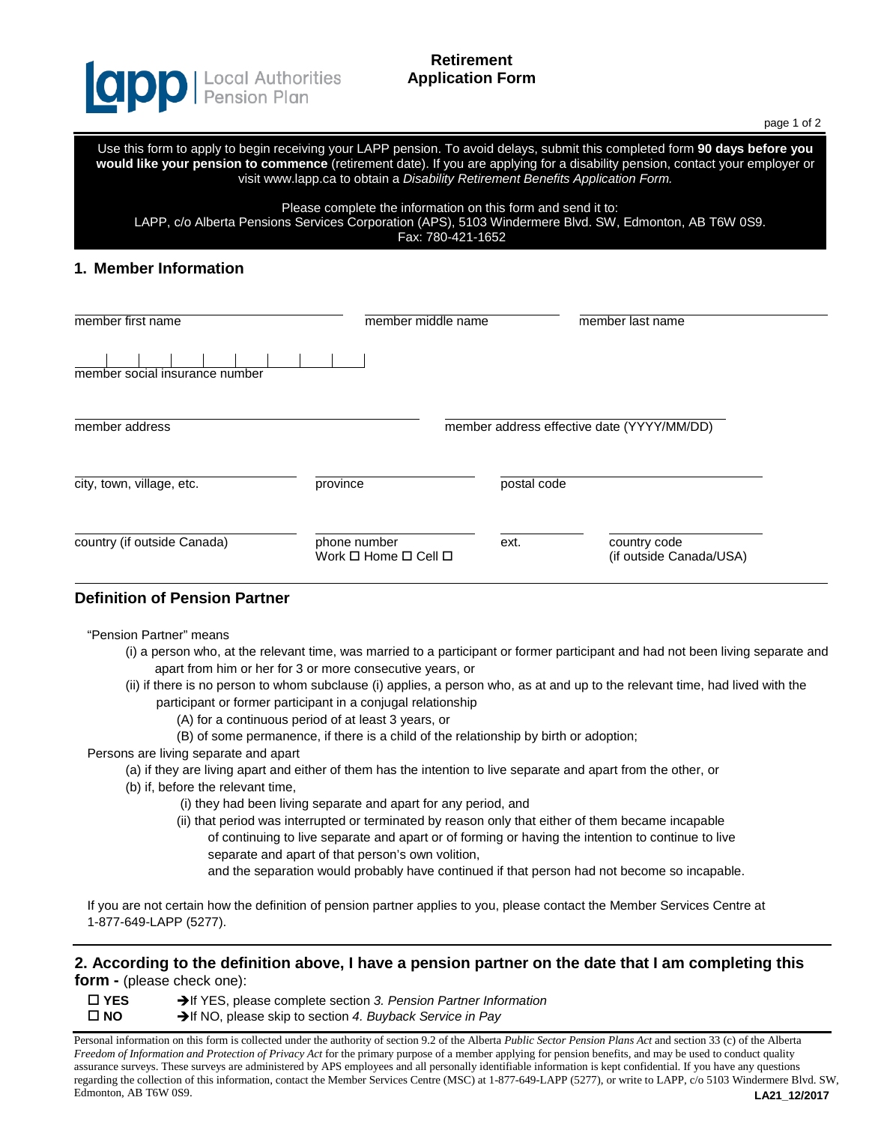

# **Retirement Application Form**

page 1 of 2

Use this form to apply to begin receiving your LAPP pension. To avoid delays, submit this completed form **90 days before you would like your pension to commence** (retirement date). If you are applying for a disability pension, contact your employer or visit www.lapp.ca to obtain a *Disability Retirement Benefits Application Form.*

Please complete the information on this form and send it to:

LAPP, c/o Alberta Pensions Services Corporation (APS), 5103 Windermere Blvd. SW, Edmonton, AB T6W 0S9.

Fax: 780-421-1652

## **1. Member Information**

| member first name              | member middle name                                           |             | member last name                           |
|--------------------------------|--------------------------------------------------------------|-------------|--------------------------------------------|
| member social insurance number |                                                              |             |                                            |
| member address                 |                                                              |             | member address effective date (YYYY/MM/DD) |
| city, town, village, etc.      | province                                                     | postal code |                                            |
| country (if outside Canada)    | phone number<br>Work $\square$ Home $\square$ Cell $\square$ | ext.        | country code<br>(if outside Canada/USA)    |

# **Definition of Pension Partner**

"Pension Partner" means

- (i) a person who, at the relevant time, was married to a participant or former participant and had not been living separate and apart from him or her for 3 or more consecutive years, or
- (ii) if there is no person to whom subclause (i) applies, a person who, as at and up to the relevant time, had lived with the participant or former participant in a conjugal relationship
	- (A) for a continuous period of at least 3 years, or
	- (B) of some permanence, if there is a child of the relationship by birth or adoption;

Persons are living separate and apart

- (a) if they are living apart and either of them has the intention to live separate and apart from the other, or
- (b) if, before the relevant time,
	- (i) they had been living separate and apart for any period, and
	- (ii) that period was interrupted or terminated by reason only that either of them became incapable of continuing to live separate and apart or of forming or having the intention to continue to live separate and apart of that person's own volition,
		- and the separation would probably have continued if that person had not become so incapable.

If you are not certain how the definition of pension partner applies to you, please contact the Member Services Centre at 1-877-649-LAPP (5277).

#### **2. According to the definition above, I have a pension partner on the date that I am completing this form -** (please check one):

 **YES** If YES, please complete section *3. Pension Partner Information* **NO** If NO, please skip to section *4. Buyback Service in Pay*

**LA21\_12/2017** Personal information on this form is collected under the authority of section 9.2 of the Alberta *Public Sector Pension Plans Act* and section 33 (c) of the Alberta *Freedom of Information and Protection of Privacy Act* for the primary purpose of a member applying for pension benefits, and may be used to conduct quality assurance surveys. These surveys are administered by APS employees and all personally identifiable information is kept confidential. If you have any questions regarding the collection of this information, contact the Member Services Centre (MSC) at 1-877-649-LAPP (5277), or write to LAPP, c/o 5103 Windermere Blvd. SW, Edmonton, AB T6W 0S9.